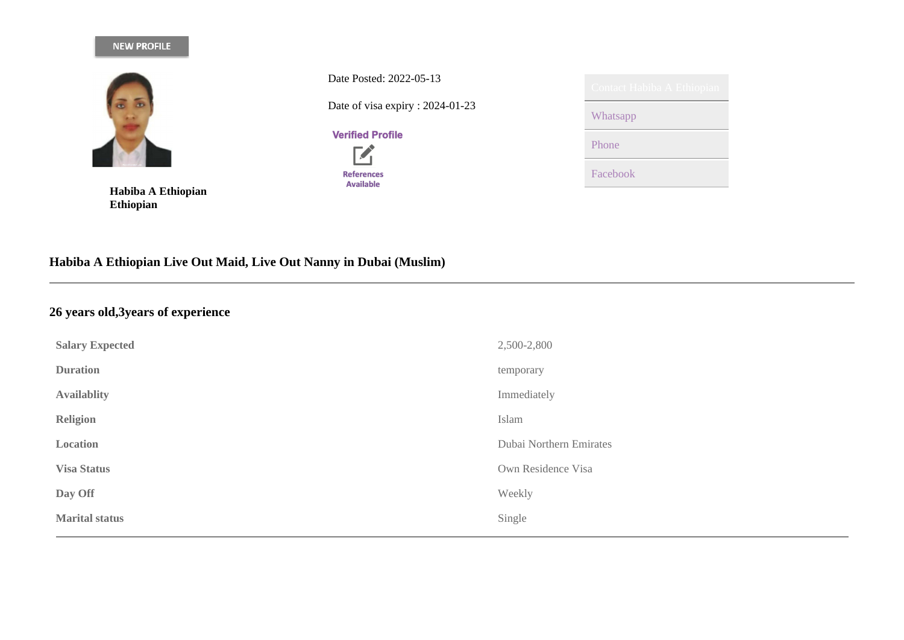## NEW PROFILE



**Habiba A Ethiopian Ethiopian**

Date Posted: 2022-05-13 Date of visa expiry : 2024-01-23

**Verified Profile** 

**74 References** Available

| Contact Habiba A Ethiopian |
|----------------------------|
| Whatsapp                   |
| Phone                      |
| Facebook                   |

# **Habiba A Ethiopian Live Out Maid, Live Out Nanny in Dubai (Muslim)**

# **26 years old,3years of experience**

| <b>Salary Expected</b> | 2,500-2,800             |
|------------------------|-------------------------|
| <b>Duration</b>        | temporary               |
| <b>Availablity</b>     | Immediately             |
| <b>Religion</b>        | Islam                   |
| Location               | Dubai Northern Emirates |
| <b>Visa Status</b>     | Own Residence Visa      |
| Day Off                | Weekly                  |
| <b>Marital status</b>  | Single                  |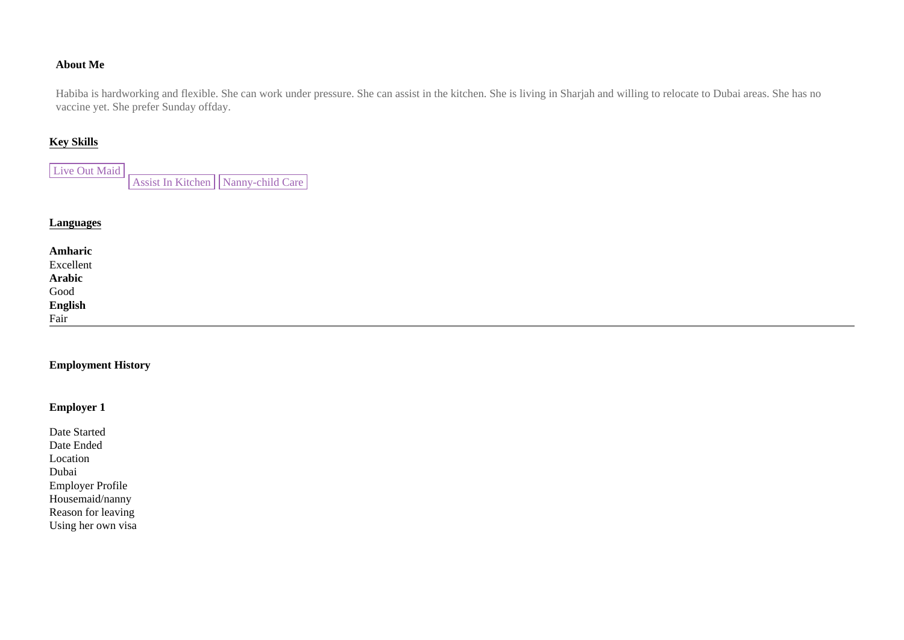#### **About Me**

Habiba is hardworking and flexible. She can work under pressure. She can assist in the kitchen. She is living in Sharjah and willing to relocate to Dubai areas. She has no vaccine yet. She prefer Sunday offday.

#### **Key Skills**

Live Out Maid Assist In Kitchen | Nanny-child Care

#### **Languages**

| Amharic                                        |  |  |
|------------------------------------------------|--|--|
|                                                |  |  |
|                                                |  |  |
|                                                |  |  |
|                                                |  |  |
| Excellent<br>Arabic<br>Good<br>English<br>Fair |  |  |

### **Employment History**

## **Employer 1**

| Date Started            |
|-------------------------|
| Date Ended              |
| Location                |
| Dubai                   |
| <b>Employer Profile</b> |
| Housemaid/nanny         |
| Reason for leaving      |
| Using her own visa      |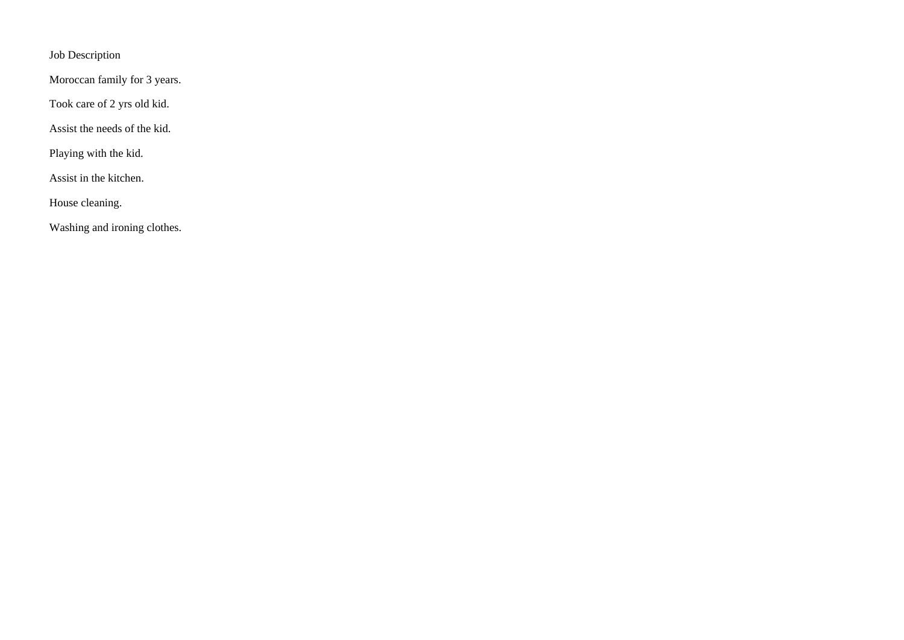Job Description

Moroccan family for 3 years.

Took care of 2 yrs old kid.

Assist the needs of the kid.

Playing with the kid.

Assist in the kitchen.

House cleaning.

Washing and ironing clothes.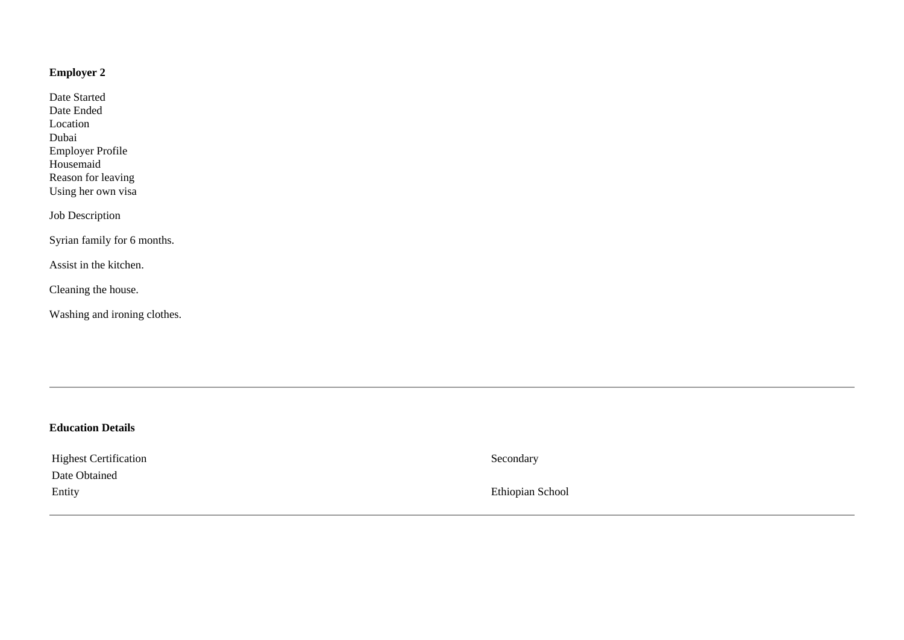## **Employer 2**

Date Started Date Ended Location Dubai Employer Profile Housemaid Reason for leaving Using her own visa

Job Description

Syrian family for 6 months.

Assist in the kitchen.

Cleaning the house.

Washing and ironing clothes.

| <b>Education Details</b>     |                  |
|------------------------------|------------------|
| <b>Highest Certification</b> | Secondary        |
| Date Obtained                |                  |
| Entity                       | Ethiopian School |
|                              |                  |